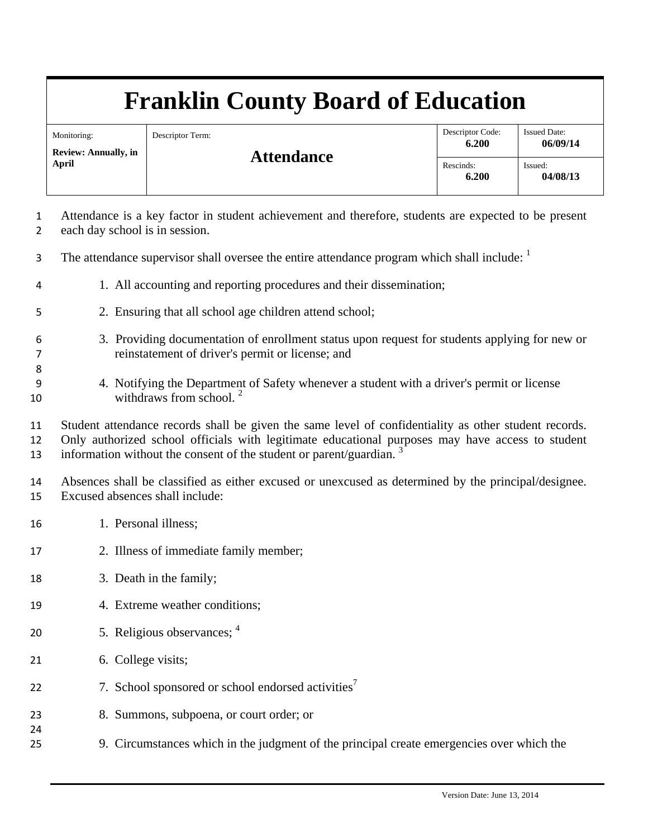# **Franklin County Board of Education**

| Monitoring:<br><b>Review: Annually, in</b><br><b>April</b> | Descriptor Term:<br><b>Attendance</b> | Descriptor Code:<br>6.200 | <b>Issued Date:</b><br>06/09/14 |
|------------------------------------------------------------|---------------------------------------|---------------------------|---------------------------------|
|                                                            |                                       | Rescinds:<br>6.200        | Issued:<br>04/08/13             |

- 1 Attendance is a key factor in student achievement and therefore, students are expected to be present 2 each day school is in session.
- The attendance supervisor shall oversee the entire attendance program which shall include: <sup>1</sup>
- 4 1. All accounting and reporting procedures and their dissemination;
- 5 2. Ensuring that all school age children attend school;
- 6 3. Providing documentation of enrollment status upon request for students applying for new or 7 reinstatement of driver's permit or license; and
- 9 4. Notifying the Department of Safety whenever a student with a driver's permit or license 10 withdraws from school.  $2\frac{1}{2}$

11 Student attendance records shall be given the same level of confidentiality as other student records. 12 Only authorized school officials with legitimate educational purposes may have access to student 13 information without the consent of the student or parent/guardian.  $3\overline{3}$ 

14 Absences shall be classified as either excused or unexcused as determined by the principal/designee. 15 Excused absences shall include:

16 1. Personal illness;

8

24

- 17 2. Illness of immediate family member;
- 18 3. Death in the family;
- 19 4. Extreme weather conditions;
- 5. Religious observances; 4 20
- 21 6. College visits;
- 22  $\hspace{1.6cm}$  7. School sponsored or school endorsed activities<sup>7</sup>
- 23 8. Summons, subpoena, or court order; or
- 25 9. Circumstances which in the judgment of the principal create emergencies over which the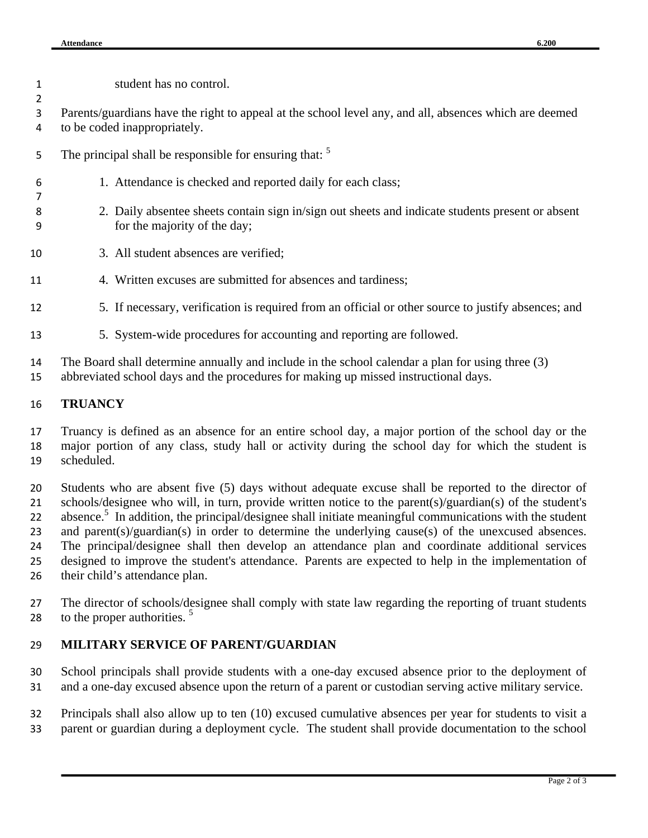| 1<br>2   | student has no control.                                                                                                                                                                 |  |
|----------|-----------------------------------------------------------------------------------------------------------------------------------------------------------------------------------------|--|
| 3        | Parents/guardians have the right to appeal at the school level any, and all, absences which are deemed                                                                                  |  |
| 4        | to be coded inappropriately.                                                                                                                                                            |  |
| 5        | The principal shall be responsible for ensuring that: <sup>5</sup>                                                                                                                      |  |
| 6<br>7   | 1. Attendance is checked and reported daily for each class;                                                                                                                             |  |
| 8<br>9   | 2. Daily absentee sheets contain sign in/sign out sheets and indicate students present or absent<br>for the majority of the day;                                                        |  |
| 10       | 3. All student absences are verified;                                                                                                                                                   |  |
| 11       | 4. Written excuses are submitted for absences and tardiness;                                                                                                                            |  |
| 12       | 5. If necessary, verification is required from an official or other source to justify absences; and                                                                                     |  |
| 13       | 5. System-wide procedures for accounting and reporting are followed.                                                                                                                    |  |
| 14<br>15 | The Board shall determine annually and include in the school calendar a plan for using three (3)<br>abbreviated school days and the procedures for making up missed instructional days. |  |

#### **TRUANCY**

 Truancy is defined as an absence for an entire school day, a major portion of the school day or the major portion of any class, study hall or activity during the school day for which the student is scheduled.

 Students who are absent five (5) days without adequate excuse shall be reported to the director of schools/designee who will, in turn, provide written notice to the parent(s)/guardian(s) of the student's 22 absence.<sup>5</sup> In addition, the principal/designee shall initiate meaningful communications with the student and parent(s)/guardian(s) in order to determine the underlying cause(s) of the unexcused absences. The principal/designee shall then develop an attendance plan and coordinate additional services 25 designed to improve the student's attendance. Parents are expected to help in the implementation of their child's attendance plan.

 The director of schools/designee shall comply with state law regarding the reporting of truant students 28 to the proper authorities.

### **MILITARY SERVICE OF PARENT/GUARDIAN**

 School principals shall provide students with a one-day excused absence prior to the deployment of and a one-day excused absence upon the return of a parent or custodian serving active military service.

 Principals shall also allow up to ten (10) excused cumulative absences per year for students to visit a parent or guardian during a deployment cycle. The student shall provide documentation to the school